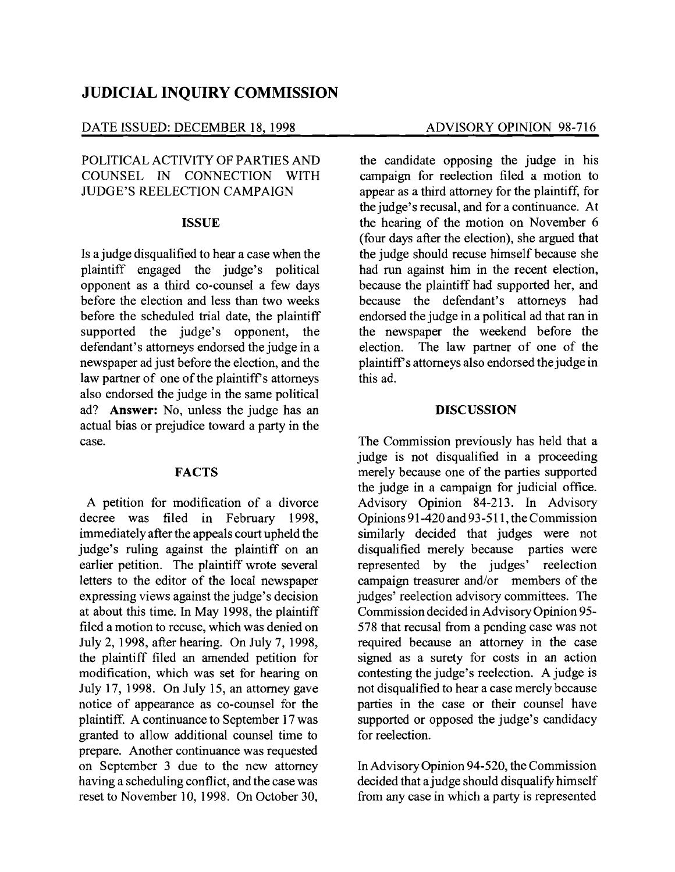# **JUDICIAL INQUIRY COMMISSION**

#### DATE ISSUED: DECEMBER 18, 1998 ADVISORY OPINION 98-716

## POLITICAL ACTIVITY OF PARTIES AND COUNSEL IN CONNECTION WITH JUDGE'S REELECTION CAMPAIGN

#### **ISSUE**

Is a judge disqualified to hear a case when the plaintiff engaged the judge's political opponent as a third co-counsel a few days before the election and less than two weeks before the scheduled trial date, the plaintiff supported the judge's opponent, the defendant's attorneys endorsed the judge in a newspaper ad just before the election, and the law partner of one of the plaintiff's attorneys also endorsed the judge in the same political ad? **Answer:** No, unless the judge has an actual bias or prejudice toward a party in the case.

#### **FACTS**

A petition for modification of a divorce decree was filed in February 1998, immediately after the appeals court upheld the judge's ruling against the plaintiff on an earlier petition. The plaintiff wrote several letters to the editor of the local newspaper expressing views against the judge's decision at about this time. In May 1998, the plaintiff filed a motion to recuse, which was denied on July 2, 1998, after hearing. On July 7, 1998, the plaintiff filed an amended petition for modification, which was set for hearing on July 17, 1998. On July 15, an attorney gave notice of appearance as co-counsel for the plaintiff. A continuance to September 17 was granted to allow additional counsel time to prepare. Another continuance was requested on September 3 due to the new attorney having a scheduling conflict, and the case was reset to November 10, 1998. On October 30,

the candidate opposing the judge in his campaign for reelection filed a motion to appear as a third attorney for the plaintiff, for the judge's recusal, and for a continuance. At the hearing of the motion on November 6 (four days after the election), she argued that the judge should recuse himself because she had run against him in the recent election, because the plaintiff had supported her, and because the defendant's attorneys had endorsed the judge in a political ad that ran in the newspaper the weekend before the election. The law partner of one of the plaintiffs attorneys also endorsed the judge in this ad.

#### **DISCUSSION**

The Commission previously has held that a judge is not disqualified in a proceeding merely because one of the parties supported the judge in a campaign for judicial office. Advisory Opinion 84-213. In Advisory Opinions91-420and93-511, the Commission similarly decided that judges were not disqualified merely because parties were represented by the judges' reelection campaign treasurer and/or members of the judges' reelection advisory committees. The Commission decided in Advisory Opinion 95 578 that recusal from a pending case was not required because an attorney in the case signed as a surety for costs in an action contesting the judge's reelection. A judge is not disqualified to hear a case merely because parties in the case or their counsel have supported or opposed the judge's candidacy for reelection.

In Advisory Opinion 94-520, the Commission decided that a judge should disqualify himself from any case in which a party is represented